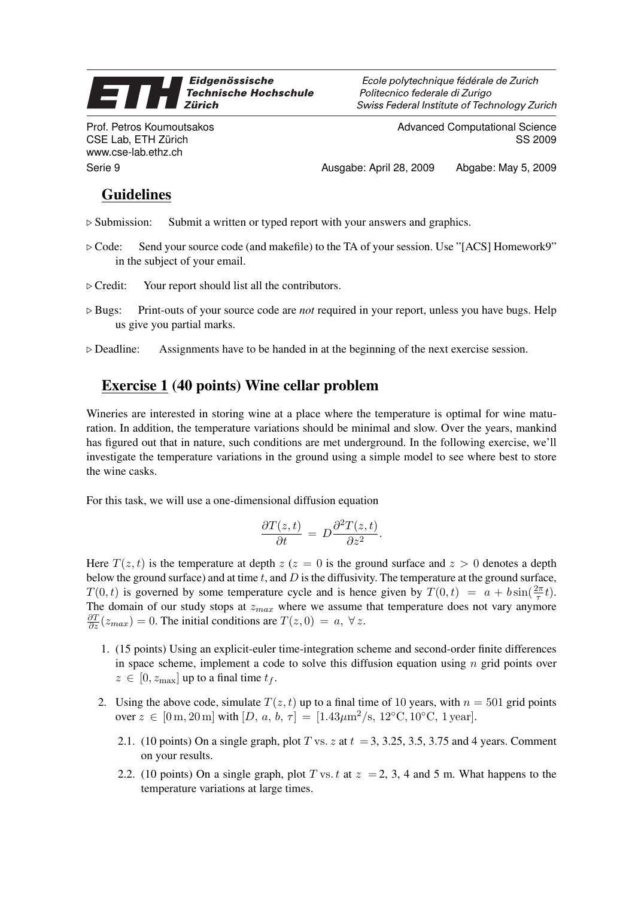## Eidgenössische **27 A Technische Hochschule Zürich**

Prof. Petros Koumoutsakos CSE Lab, ETH Zürich www.cse-lab.ethz.ch

Ecole polytechnique fédérale de Zurich Politecnico federale di Zurigo Swiss Federal Institute of Technology Zurich

> Advanced Computational Science SS 2009

Serie 9 **Ausgabe: April 28, 2009** Abgabe: May 5, 2009

## Guidelines

- $\triangleright$  Submission: Submit a written or typed report with your answers and graphics.
- $\triangleright$  Code: Send your source code (and makefile) to the TA of your session. Use "[ACS] Homework9" in the subject of your email.
- $\triangleright$  Credit: Your report should list all the contributors.
- $\triangleright$  Bugs: Print-outs of your source code are *not* required in your report, unless you have bugs. Help us give you partial marks.
- $\triangleright$  Deadline: Assignments have to be handed in at the beginning of the next exercise session.

## Exercise 1 (40 points) Wine cellar problem

Wineries are interested in storing wine at a place where the temperature is optimal for wine maturation. In addition, the temperature variations should be minimal and slow. Over the years, mankind has figured out that in nature, such conditions are met underground. In the following exercise, we'll investigate the temperature variations in the ground using a simple model to see where best to store the wine casks.

For this task, we will use a one-dimensional diffusion equation

$$
\frac{\partial T(z,t)}{\partial t} = D \frac{\partial^2 T(z,t)}{\partial z^2}.
$$

Here  $T(z, t)$  is the temperature at depth  $z (z = 0)$  is the ground surface and  $z > 0$  denotes a depth below the ground surface) and at time t, and  $D$  is the diffusivity. The temperature at the ground surface,  $T(0, t)$  is governed by some temperature cycle and is hence given by  $T(0, t) = a + b \sin(\frac{2\pi}{\tau}t)$ . The domain of our study stops at  $z_{max}$  where we assume that temperature does not vary anymore  $\frac{\partial T}{\partial z}(z_{max}) = 0$ . The initial conditions are  $T(z, 0) = a, \forall z$ .

- 1. (15 points) Using an explicit-euler time-integration scheme and second-order finite differences in space scheme, implement a code to solve this diffusion equation using  $n$  grid points over  $z \in [0, z_{\text{max}}]$  up to a final time  $t_f$ .
- 2. Using the above code, simulate  $T(z, t)$  up to a final time of 10 years, with  $n = 501$  grid points over  $z \in [0 \text{ m}, 20 \text{ m}]$  with  $[D, a, b, \tau] = [1.43 \mu \text{m}^2/\text{s}, 12^{\circ} \text{C}, 10^{\circ} \text{C}, 1 \text{ year}]$ .
	- 2.1. (10 points) On a single graph, plot T vs. z at  $t = 3, 3.25, 3.5, 3.75$  and 4 years. Comment on your results.
	- 2.2. (10 points) On a single graph, plot T vs. t at  $z = 2, 3, 4$  and 5 m. What happens to the temperature variations at large times.